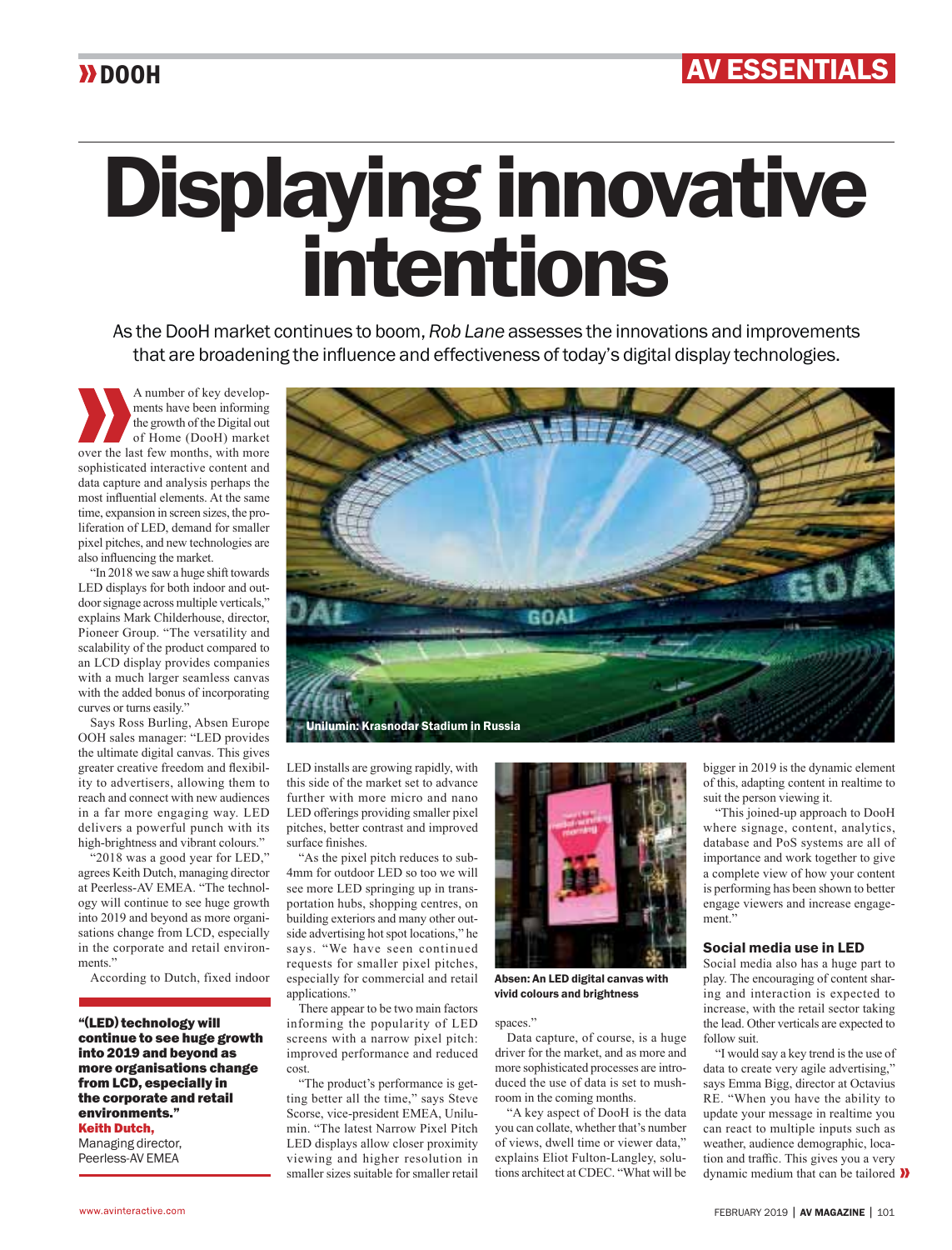## Displaying innovative intentions

As the DooH market continues to boom, *Rob Lane* assesses the innovations and improvements that are broadening the influence and effectiveness of today's digital display technologies.

A number of key developments have been informing the growth of the Digital out of Home (DooH) market over the last few months, with more sophisticated interactive content and data capture and analysis perhaps the most influential elements. At the same time, expansion in screen sizes, the proliferation of LED, demand for smaller pixel pitches, and new technologies are also influencing the market.

"In 2018 we saw a huge shift towards LED displays for both indoor and outdoor signage across multiple verticals," explains Mark Childerhouse, director, Pioneer Group. "The versatility and scalability of the product compared to an LCD display provides companies with a much larger seamless canvas with the added bonus of incorporating curves or turns easily."

Says Ross Burling, Absen Europe OOH sales manager: "LED provides the ultimate digital canvas. This gives greater creative freedom and flexibility to advertisers, allowing them to reach and connect with new audiences in a far more engaging way. LED delivers a powerful punch with its high-brightness and vibrant colours."

"2018 was a good year for LED," agrees Keith Dutch, managing director at Peerless-AV EMEA. "The technology will continue to see huge growth into 2019 and beyond as more organisations change from LCD, especially in the corporate and retail environments."

According to Dutch, fixed indoor

"(LED) technology will continue to see huge growth into 2019 and beyond as more organisations change from LCD, especially in the corporate and retail environments." Keith Dutch,

Managing director, Peerless-AV EMEA



LED installs are growing rapidly, with this side of the market set to advance further with more micro and nano LED offerings providing smaller pixel pitches, better contrast and improved surface finishes

"As the pixel pitch reduces to sub-4mm for outdoor LED so too we will see more LED springing up in transportation hubs, shopping centres, on building exteriors and many other outside advertising hot spot locations," he says. "We have seen continued requests for smaller pixel pitches, especially for commercial and retail applications."

There appear to be two main factors informing the popularity of LED screens with a narrow pixel pitch: improved performance and reduced cost.

"The product's performance is getting better all the time," says Steve Scorse, vice-president EMEA, Unilumin. "The latest Narrow Pixel Pitch LED displays allow closer proximity viewing and higher resolution in smaller sizes suitable for smaller retail



Absen: An LED digital canvas with vivid colours and brightness

spaces."

Data capture, of course, is a huge driver for the market, and as more and more sophisticated processes are introduced the use of data is set to mushroom in the coming months.

"A key aspect of DooH is the data you can collate, whether that's number of views, dwell time or viewer data," explains Eliot Fulton-Langley, solutions architect at CDEC. "What will be

bigger in 2019 is the dynamic element of this, adapting content in realtime to suit the person viewing it.

"This joined-up approach to DooH where signage, content, analytics, database and PoS systems are all of importance and work together to give a complete view of how your content is performing has been shown to better engage viewers and increase engagement.<sup>3</sup>

## Social media use in LED

Social media also has a huge part to play. The encouraging of content sharing and interaction is expected to increase, with the retail sector taking the lead. Other verticals are expected to follow suit.

"I would say a key trend is the use of data to create very agile advertising," says Emma Bigg, director at Octavius RE. "When you have the ability to update your message in realtime you can react to multiple inputs such as weather, audience demographic, location and traffic. This gives you a very dynamic medium that can be tailored  $\lambda$